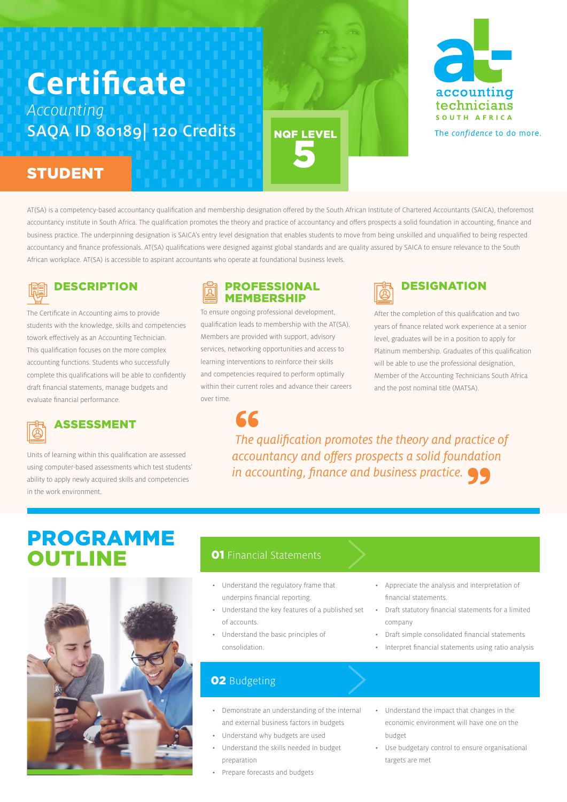# **Certificate** Accounting SAQA ID 80189 120 Credits

# STUDENT

AT(SA) is a competency-based accountancy qualification and membership designation offered by the South African Institute of Chartered Accountants (SAICA), theforemost accountancy institute in South Africa. The qualification promotes the theory and practice of accountancy and offers prospects a solid foundation in accounting, finance and business practice. The underpinning designation is SAICA's entry level designation that enables students to move from being unskilled and unqualified to being respected accountancy and finance professionals. AT(SA) qualifications were designed against global standards and are quality assured by SAICA to ensure relevance to the South African workplace. AT(SA) is accessible to aspirant accountants who operate at foundational business levels.

NQF LEVEL

5



The Certificate in Accounting aims to provide students with the knowledge, skills and competencies towork effectively as an Accounting Technician. This qualification focuses on the more complex accounting functions. Students who successfully complete this qualifications will be able to confidently draft financial statements, manage budgets and evaluate financial performance.



Units of learning within this qualification are assessed using computer-based assessments which test students' ability to apply newly acquired skills and competencies in the work environment.

## PROFESSI0NAL **MEMBERSHIP**

To ensure ongoing professional development, qualification leads to membership with the AT(SA). Members are provided with support, advisory services, networking opportunities and access to learning interventions to reinforce their skills and competencies required to perform optimally within their current roles and advance their careers over time.



After the completion of this qualification and two years of finance related work experience at a senior level, graduates will be in a position to apply for Platinum membership. Graduates of this qualification will be able to use the professional designation, Member of the Accounting Technicians South Africa and the post nominal title (MATSA).

 The qualification promotes the theory and practice of accountancy and offers prospects a solid foundation 66<br>The qualification promotes the theory and pi<br>accountancy and offers prospects a solid four<br>in accounting, finance and business practice. actice<br>datio<br>99

# PROGRAMME **OUTLINE**



# **01 Financial Statements**

- Understand the regulatory frame that underpins financial reporting.
- Understand the key features of a published set of accounts.
- Understand the basic principles of consolidation.

# **02** Budgeting

- Demonstrate an understanding of the internal and external business factors in budgets
- Understand why budgets are used
- Understand the skills needed in budget preparation
- Prepare forecasts and budgets
- Appreciate the analysis and interpretation of financial statements.
- Draft statutory financial statements for a limited company
- Draft simple consolidated financial statements
- Interpret financial statements using ratio analysis
- Understand the impact that changes in the economic environment will have one on the budget
- Use budgetary control to ensure organisational targets are met